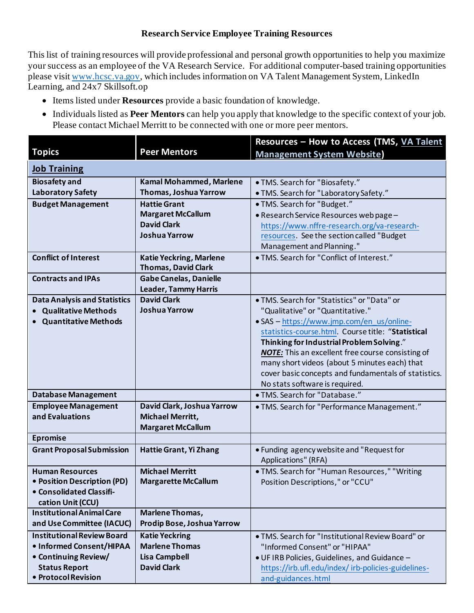## **Research Service Employee Training Resources**

This list of training resources will provide professional and personal growth opportunities to help you maximize your success as an employee of the VA Research Service. For additional computer-based training opportunities please visi[t www.hcsc.va.gov](http://www.hcsc.va.gov/), which includes information on VA Talent Management System, LinkedIn Learning, and 24x7 Skillsoft.op

- Items listed under **Resources** provide a basic foundation of knowledge.
- Individuals listed as **Peer Mentors** can help you apply that knowledge to the specific context of your job. Please contact Michael Merritt to be connected with one or more peer mentors.

|                                     |                                | Resources - How to Access (TMS, VA Talent                |
|-------------------------------------|--------------------------------|----------------------------------------------------------|
| <b>Topics</b>                       | <b>Peer Mentors</b>            | <b>Management System Website)</b>                        |
| <b>Job Training</b>                 |                                |                                                          |
| <b>Biosafety and</b>                | <b>Kamal Mohammed, Marlene</b> | · TMS. Search for "Biosafety."                           |
| <b>Laboratory Safety</b>            | Thomas, Joshua Yarrow          | · TMS. Search for "Laboratory Safety."                   |
| <b>Budget Management</b>            | <b>Hattie Grant</b>            | • TMS. Search for "Budget."                              |
|                                     | <b>Margaret McCallum</b>       | · Research Service Resources web page-                   |
|                                     | <b>David Clark</b>             | https://www.nffre-research.org/va-research-              |
|                                     | <b>Joshua Yarrow</b>           | resources. See the section called "Budget                |
|                                     |                                | Management and Planning."                                |
| <b>Conflict of Interest</b>         | <b>Katie Yeckring, Marlene</b> | · TMS. Search for "Conflict of Interest."                |
|                                     | <b>Thomas, David Clark</b>     |                                                          |
| <b>Contracts and IPAs</b>           | <b>Gabe Canelas, Danielle</b>  |                                                          |
|                                     | <b>Leader, Tammy Harris</b>    |                                                          |
| <b>Data Analysis and Statistics</b> | <b>David Clark</b>             | . TMS. Search for "Statistics" or "Data" or              |
| <b>Qualitative Methods</b>          | <b>Joshua Yarrow</b>           | "Qualitative" or "Quantitative."                         |
| <b>Quantitative Methods</b>         |                                | · SAS - https://www.jmp.com/en_us/online-                |
|                                     |                                | statistics-course.html. Course title: "Statistical       |
|                                     |                                | Thinking for Industrial Problem Solving."                |
|                                     |                                | <b>NOTE:</b> This an excellent free course consisting of |
|                                     |                                | many short videos (about 5 minutes each) that            |
|                                     |                                | cover basic concepts and fundamentals of statistics.     |
|                                     |                                | No stats software is required.                           |
| <b>Database Management</b>          |                                | · TMS. Search for "Database."                            |
| <b>Employee Management</b>          | David Clark, Joshua Yarrow     | · TMS. Search for "Performance Management."              |
| and Evaluations                     | Michael Merritt,               |                                                          |
|                                     | <b>Margaret McCallum</b>       |                                                          |
| <b>Epromise</b>                     |                                |                                                          |
| <b>Grant Proposal Submission</b>    | Hattie Grant, Yi Zhang         | • Funding agency website and "Request for                |
|                                     |                                | Applications" (RFA)                                      |
| <b>Human Resources</b>              | <b>Michael Merritt</b>         | . TMS. Search for "Human Resources," "Writing            |
| • Position Description (PD)         | <b>Margarette McCallum</b>     | Position Descriptions," or "CCU"                         |
| • Consolidated Classifi-            |                                |                                                          |
| cation Unit (CCU)                   |                                |                                                          |
| <b>Institutional Animal Care</b>    | Marlene Thomas,                |                                                          |
| and Use Committee (IACUC)           | Prodip Bose, Joshua Yarrow     |                                                          |
| <b>Institutional Review Board</b>   | <b>Katie Yeckring</b>          | . TMS. Search for "Institutional Review Board" or        |
| • Informed Consent/HIPAA            | <b>Marlene Thomas</b>          | "Informed Consent" or "HIPAA"                            |
| • Continuing Review/                | <b>Lisa Campbell</b>           | . UF IRB Policies, Guidelines, and Guidance -            |
| <b>Status Report</b>                | <b>David Clark</b>             | https://irb.ufl.edu/index/irb-policies-guidelines-       |
| · Protocol Revision                 |                                | and-guidances.html                                       |